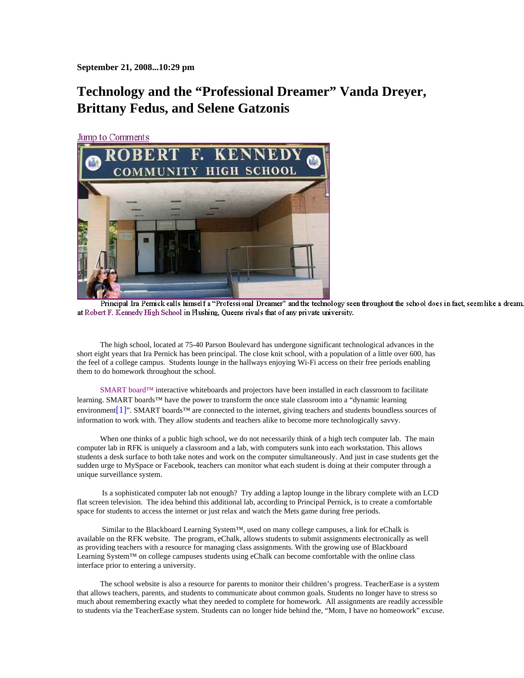**September 21, 2008...10:29 pm**

## **Technology and the "Professional Dreamer" Vanda Dreyer, Brittany Fedus, and Selene Gatzonis**

Jump to Comments



Principal Ira Pernick calls himself a "Professional Dreamer" and the technology seen throughout the school does in fact, seem like a dream. at Robert F. Kennedy High School in Flushing, Queens rivals that of any private university.

The high school, located at 75-40 Parson Boulevard has undergone significant technological advances in the short eight years that Ira Pernick has been principal. The close knit school, with a population of a little over 600, has the feel of a college campus. Students lounge in the hallways enjoying Wi-Fi access on their free periods enabling them to do homework throughout the school.

SMART board™ interactive whiteboards and projectors have been installed in each classroom to facilitate learning. SMART boards™ have the power to transform the once stale classroom into a "dynamic learning environment[1]". SMART boards™ are connected to the internet, giving teachers and students boundless sources of information to work with. They allow students and teachers alike to become more technologically savvy.

When one thinks of a public high school, we do not necessarily think of a high tech computer lab. The main computer lab in RFK is uniquely a classroom and a lab, with computers sunk into each workstation. This allows students a desk surface to both take notes and work on the computer simultaneously. And just in case students get the sudden urge to MySpace or Facebook, teachers can monitor what each student is doing at their computer through a unique surveillance system.

 Is a sophisticated computer lab not enough? Try adding a laptop lounge in the library complete with an LCD flat screen television. The idea behind this additional lab, according to Principal Pernick, is to create a comfortable space for students to access the internet or just relax and watch the Mets game during free periods.

 Similar to the Blackboard Learning System™, used on many college campuses, a link for eChalk is available on the RFK website. The program, eChalk, allows students to submit assignments electronically as well as providing teachers with a resource for managing class assignments. With the growing use of Blackboard Learning System™ on college campuses students using eChalk can become comfortable with the online class interface prior to entering a university.

The school website is also a resource for parents to monitor their children's progress. TeacherEase is a system that allows teachers, parents, and students to communicate about common goals. Students no longer have to stress so much about remembering exactly what they needed to complete for homework. All assignments are readily accessible to students via the TeacherEase system. Students can no longer hide behind the, "Mom, I have no homeowork" excuse.